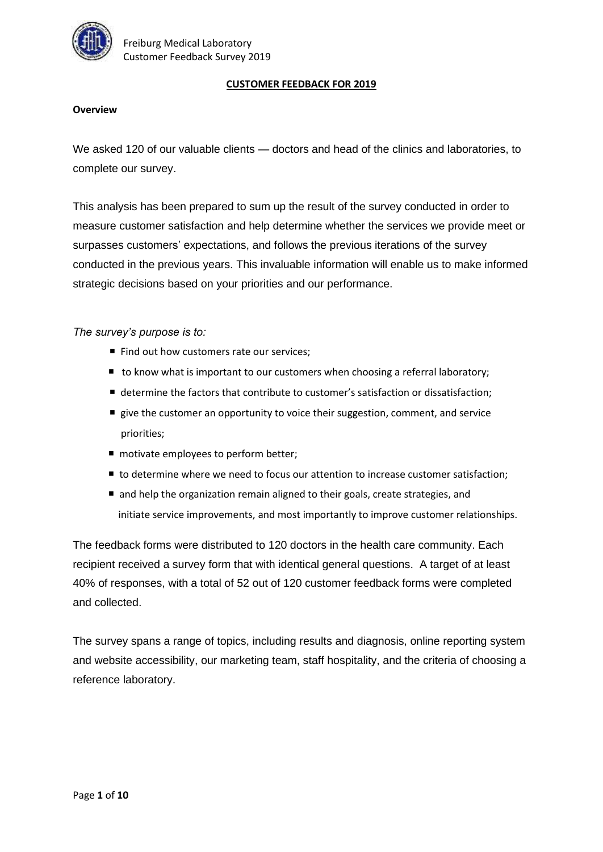

#### **CUSTOMER FEEDBACK FOR 2019**

#### **Overview**

We asked 120 of our valuable clients - doctors and head of the clinics and laboratories, to complete our survey.

This analysis has been prepared to sum up the result of the survey conducted in order to measure customer satisfaction and help determine whether the services we provide meet or surpasses customers' expectations, and follows the previous iterations of the survey conducted in the previous years. This invaluable information will enable us to make informed strategic decisions based on your priorities and our performance.

*The survey's purpose is to:*

- Find out how customers rate our services;
- to know what is important to our customers when choosing a referral laboratory;
- determine the factors that contribute to customer's satisfaction or dissatisfaction;
- $\blacksquare$  give the customer an opportunity to voice their suggestion, comment, and service priorities;
- motivate employees to perform better;
- to determine where we need to focus our attention to increase customer satisfaction;
- and help the organization remain aligned to their goals, create strategies, and initiate service improvements, and most importantly to improve customer relationships.

The feedback forms were distributed to 120 doctors in the health care community. Each recipient received a survey form that with identical general questions. A target of at least 40% of responses, with a total of 52 out of 120 customer feedback forms were completed and collected.

The survey spans a range of topics, including results and diagnosis, online reporting system and website accessibility, our marketing team, staff hospitality, and the criteria of choosing a reference laboratory.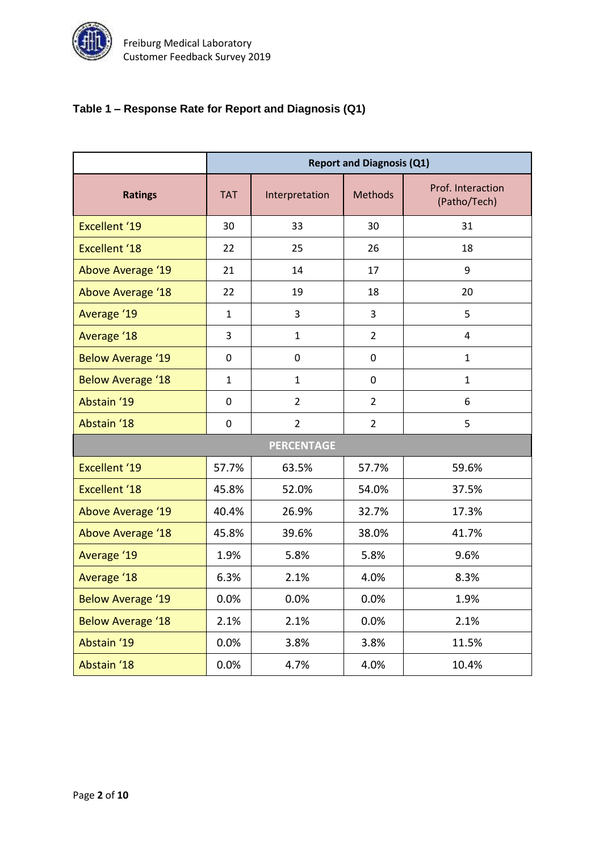

# **Table 1 – Response Rate for Report and Diagnosis (Q1)**

|                          | <b>Report and Diagnosis (Q1)</b> |                                  |                |                                   |  |  |
|--------------------------|----------------------------------|----------------------------------|----------------|-----------------------------------|--|--|
| <b>Ratings</b>           | <b>TAT</b>                       | <b>Methods</b><br>Interpretation |                | Prof. Interaction<br>(Patho/Tech) |  |  |
| <b>Excellent '19</b>     | 30                               | 33                               | 30             | 31                                |  |  |
| <b>Excellent '18</b>     | 22                               | 25                               | 26             | 18                                |  |  |
| Above Average '19        | 21                               | 14                               | 17             | 9                                 |  |  |
| <b>Above Average '18</b> | 22                               | 19                               | 18             | 20                                |  |  |
| Average '19              | $\mathbf{1}$                     | 3                                | $\overline{3}$ | 5                                 |  |  |
| Average '18              | 3                                | $\mathbf{1}$                     | $\overline{2}$ | 4                                 |  |  |
| <b>Below Average '19</b> | 0                                | $\mathbf 0$                      | $\mathbf 0$    | $\mathbf{1}$                      |  |  |
| <b>Below Average '18</b> | $\mathbf{1}$                     | $\mathbf{1}$                     | $\mathbf 0$    | $\mathbf{1}$                      |  |  |
| Abstain '19              | $\mathbf 0$                      | $\overline{2}$                   | $\overline{2}$ | 6                                 |  |  |
| Abstain '18              | $\mathbf 0$                      | $\overline{2}$<br>$\overline{2}$ |                | 5                                 |  |  |
| <b>PERCENTAGE</b>        |                                  |                                  |                |                                   |  |  |
| <b>Excellent '19</b>     | 57.7%                            | 63.5%                            | 57.7%          | 59.6%                             |  |  |
| <b>Excellent '18</b>     | 45.8%                            | 52.0%                            | 54.0%          | 37.5%                             |  |  |
| <b>Above Average '19</b> | 40.4%                            | 26.9%                            | 32.7%          | 17.3%                             |  |  |
| Above Average '18        | 45.8%                            | 39.6%                            | 38.0%          | 41.7%                             |  |  |
| Average '19              | 1.9%                             | 5.8%                             | 5.8%           | 9.6%                              |  |  |
| Average '18              | 6.3%                             | 2.1%                             | 4.0%           | 8.3%                              |  |  |
| <b>Below Average '19</b> | 0.0%                             | 0.0%                             | 0.0%           | 1.9%                              |  |  |
| <b>Below Average '18</b> | 2.1%                             | 2.1%                             | 0.0%           | 2.1%                              |  |  |
| Abstain '19              | 0.0%                             | 3.8%                             | 3.8%           | 11.5%                             |  |  |
| Abstain '18              | 0.0%                             | 4.7%                             | 4.0%           | 10.4%                             |  |  |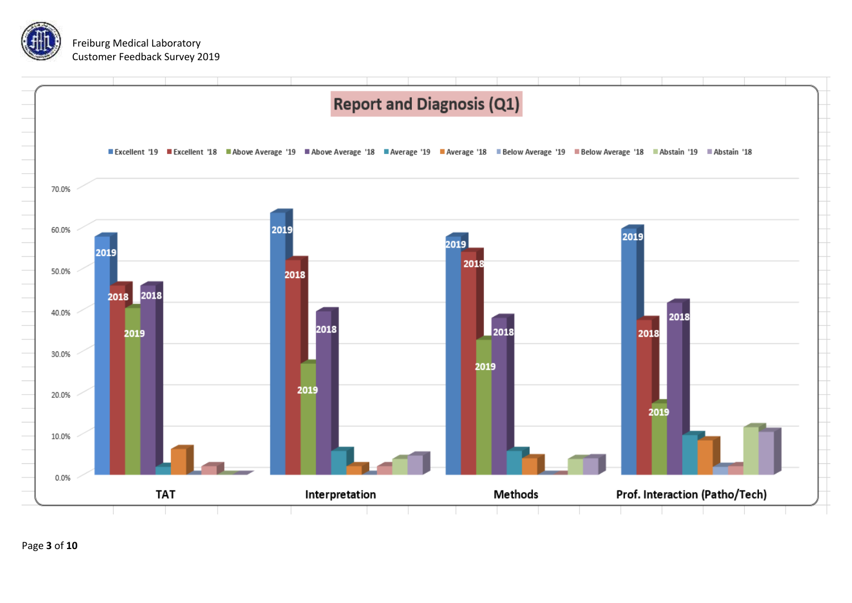

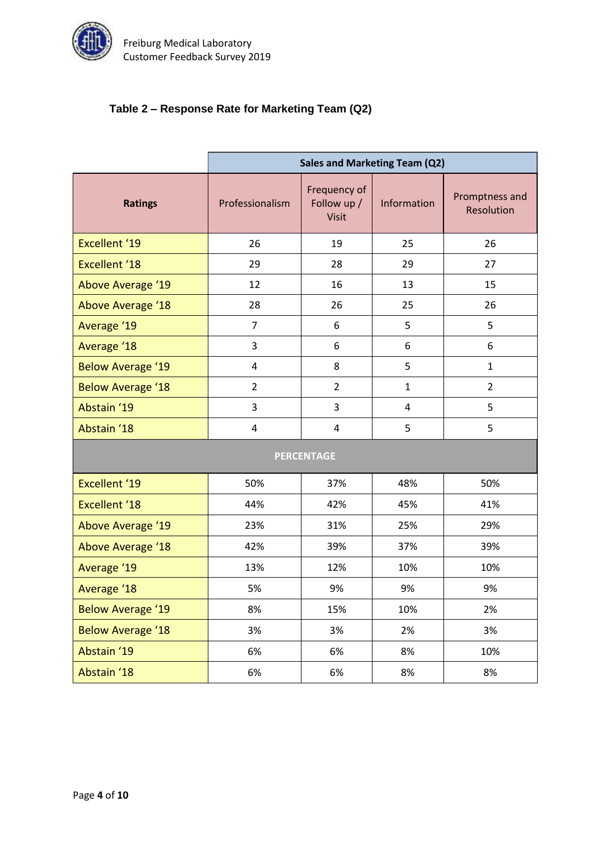

# **Table 2 – Response Rate for Marketing Team (Q2)**

|                          | <b>Sales and Marketing Team (Q2)</b> |                                             |                |                              |  |  |  |
|--------------------------|--------------------------------------|---------------------------------------------|----------------|------------------------------|--|--|--|
| <b>Ratings</b>           | Professionalism                      | Frequency of<br>Follow up /<br><b>Visit</b> | Information    | Promptness and<br>Resolution |  |  |  |
| <b>Excellent '19</b>     | 26                                   | 19                                          | 25             | 26                           |  |  |  |
| <b>Excellent '18</b>     | 29                                   | 28                                          | 29             | 27                           |  |  |  |
| <b>Above Average '19</b> | 12                                   | 16                                          | 13             | 15                           |  |  |  |
| Above Average '18        | 28                                   | 26                                          | 25             | 26                           |  |  |  |
| Average '19              | $\overline{7}$                       | 6                                           | 5              | 5                            |  |  |  |
| Average '18              | 3                                    | 6                                           | 6              | 6                            |  |  |  |
| <b>Below Average '19</b> | 4                                    | 8                                           | 5              | $\mathbf{1}$                 |  |  |  |
| <b>Below Average '18</b> | $\overline{2}$                       | $\overline{2}$                              | $\mathbf{1}$   | $\overline{2}$               |  |  |  |
| Abstain '19              | 3                                    | 3                                           | $\overline{4}$ | 5                            |  |  |  |
| Abstain '18              | $\overline{4}$                       | $\overline{\mathbf{4}}$                     | 5              | 5                            |  |  |  |
| <b>PERCENTAGE</b>        |                                      |                                             |                |                              |  |  |  |
| <b>Excellent '19</b>     | 50%                                  | 37%                                         | 48%            | 50%                          |  |  |  |
| <b>Excellent '18</b>     | 44%                                  | 42%                                         | 45%            | 41%                          |  |  |  |
| <b>Above Average '19</b> | 23%                                  | 31%                                         | 25%            | 29%                          |  |  |  |
| Above Average '18        | 42%                                  | 39%                                         | 37%            | 39%                          |  |  |  |
| Average '19              | 13%                                  | 12%                                         | 10%            | 10%                          |  |  |  |
| Average '18              | 5%                                   | 9%                                          | 9%             | 9%                           |  |  |  |
| <b>Below Average '19</b> | 8%                                   | 15%                                         | 10%            | 2%                           |  |  |  |
| <b>Below Average '18</b> | 3%                                   | 3%                                          | 2%             | 3%                           |  |  |  |
| Abstain '19              | 6%                                   | 6%                                          | 8%             | 10%                          |  |  |  |
| Abstain '18              | 6%                                   | 6%                                          | 8%             | 8%                           |  |  |  |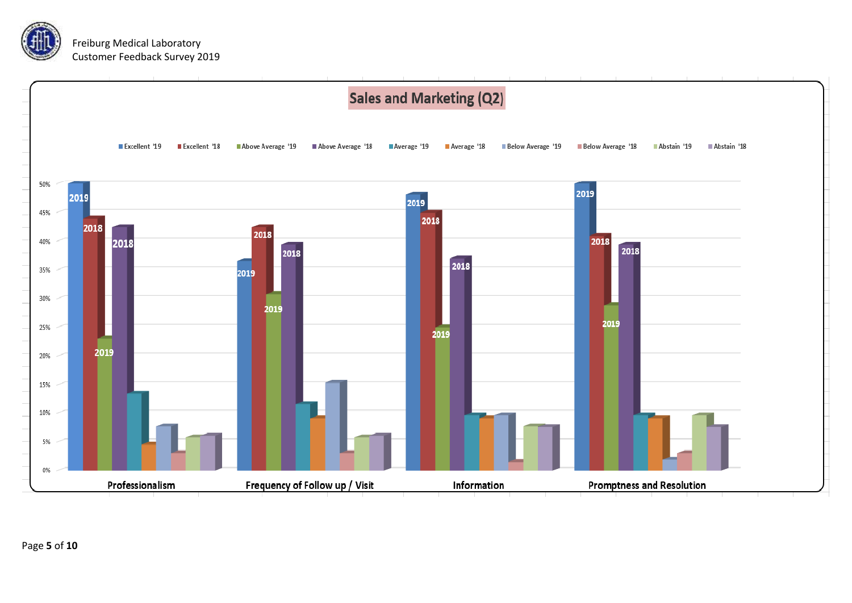

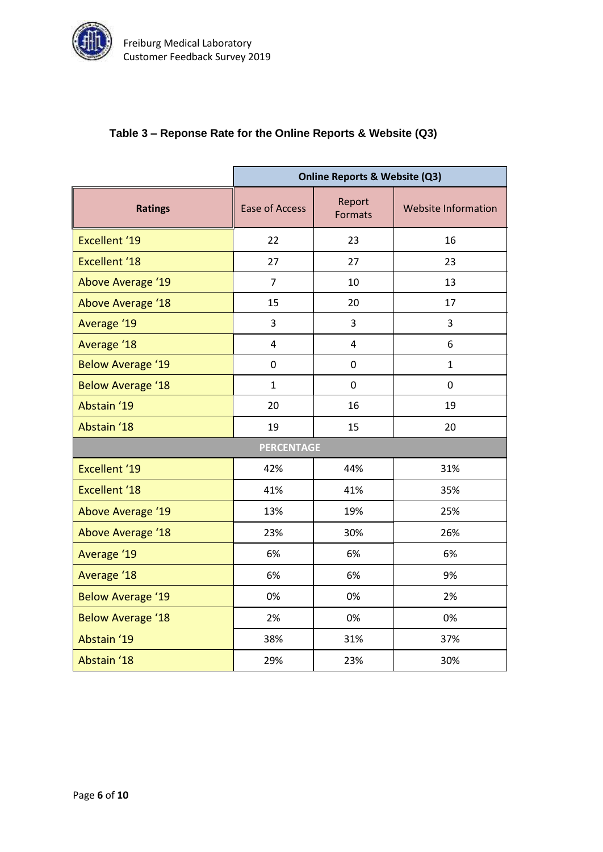

### **Table 3 – Reponse Rate for the Online Reports & Website (Q3)**

|                          | <b>Online Reports &amp; Website (Q3)</b> |                   |                            |  |  |  |
|--------------------------|------------------------------------------|-------------------|----------------------------|--|--|--|
| <b>Ratings</b>           | <b>Ease of Access</b>                    | Report<br>Formats | <b>Website Information</b> |  |  |  |
| <b>Excellent '19</b>     | 22<br>23                                 |                   | 16                         |  |  |  |
| <b>Excellent '18</b>     | 27                                       | 27                | 23                         |  |  |  |
| <b>Above Average '19</b> | $\overline{7}$                           | 10                | 13                         |  |  |  |
| <b>Above Average '18</b> | 15                                       | 20                | 17                         |  |  |  |
| Average '19              | 3                                        | 3                 | 3                          |  |  |  |
| Average '18              | 4                                        | 4                 | 6                          |  |  |  |
| <b>Below Average '19</b> | 0                                        | 0                 | 1                          |  |  |  |
| <b>Below Average '18</b> | $\mathbf{1}$                             | $\mathbf 0$       | $\mathbf 0$                |  |  |  |
| Abstain '19              | 20                                       | 16                | 19                         |  |  |  |
| Abstain '18              | 19                                       | 15                | 20                         |  |  |  |
| <b>PERCENTAGE</b>        |                                          |                   |                            |  |  |  |
| <b>Excellent '19</b>     | 42%                                      | 44%               | 31%                        |  |  |  |
| <b>Excellent '18</b>     | 41%                                      | 41%               | 35%                        |  |  |  |
| <b>Above Average '19</b> | 13%                                      | 19%               | 25%                        |  |  |  |
| <b>Above Average '18</b> | 23%                                      | 30%               | 26%                        |  |  |  |
| Average '19              | 6%                                       | 6%                | 6%                         |  |  |  |
| <b>Average '18</b>       | 6%                                       | 6%                | 9%                         |  |  |  |
| <b>Below Average '19</b> | 0%                                       | 0%                | 2%                         |  |  |  |
| <b>Below Average '18</b> | 2%                                       | 0%                | 0%                         |  |  |  |
| Abstain '19              | 38%                                      | 31%               | 37%                        |  |  |  |
| Abstain '18              | 29%                                      | 23%               | 30%                        |  |  |  |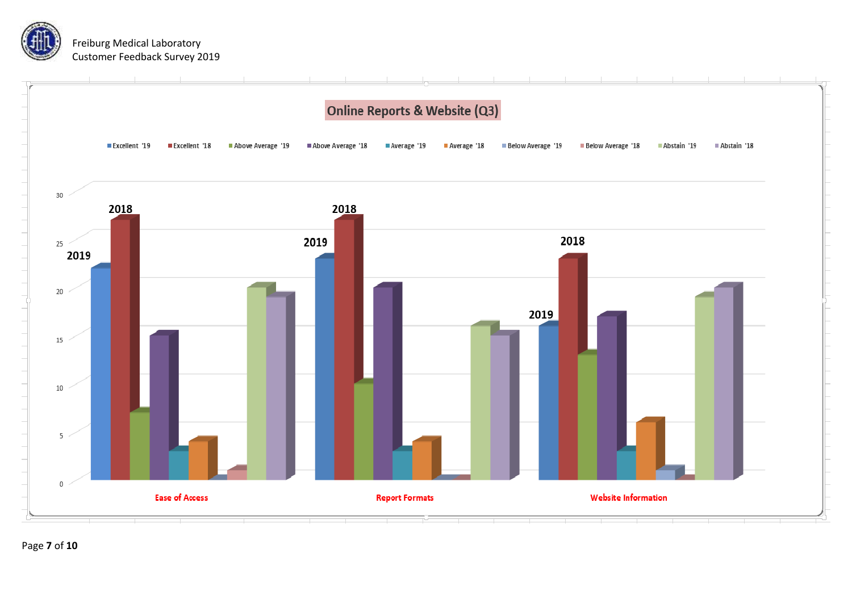

Page **7** of **10**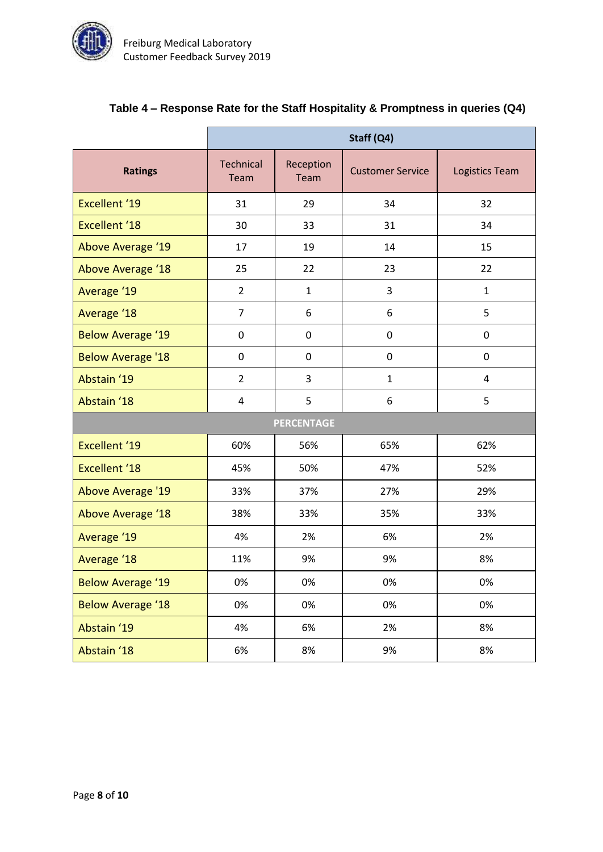

|                          | Staff (Q4)        |                                              |              |                |  |  |  |
|--------------------------|-------------------|----------------------------------------------|--------------|----------------|--|--|--|
| <b>Ratings</b>           | Technical<br>Team | Reception<br><b>Customer Service</b><br>Team |              | Logistics Team |  |  |  |
| Excellent '19            | 31                | 29                                           | 34           | 32             |  |  |  |
| <b>Excellent '18</b>     | 30                | 33                                           | 31           | 34             |  |  |  |
| Above Average '19        | 17                | 19                                           | 14           | 15             |  |  |  |
| Above Average '18        | 25                | 22                                           | 23           | 22             |  |  |  |
| Average '19              | $\overline{2}$    | $\mathbf{1}$                                 | 3            | $\mathbf{1}$   |  |  |  |
| Average '18              | $\overline{7}$    | 6                                            | 6            | 5              |  |  |  |
| <b>Below Average '19</b> | 0                 | $\pmb{0}$                                    | 0            | 0              |  |  |  |
| <b>Below Average '18</b> | 0                 | 0                                            | 0            | 0              |  |  |  |
| Abstain '19              | $\overline{2}$    | 3                                            | $\mathbf{1}$ | 4              |  |  |  |
| Abstain '18              | 4                 | 5                                            | 6            | 5              |  |  |  |
| <b>PERCENTAGE</b>        |                   |                                              |              |                |  |  |  |
| Excellent '19            | 60%               | 56%                                          | 65%          | 62%            |  |  |  |
| <b>Excellent '18</b>     | 45%               | 50%                                          | 47%          | 52%            |  |  |  |
| <b>Above Average '19</b> | 33%               | 37%                                          | 27%          | 29%            |  |  |  |
| <b>Above Average '18</b> | 38%               | 33%                                          | 35%          | 33%            |  |  |  |
| Average '19              | 4%                | 2%                                           | 6%           | 2%             |  |  |  |
| Average '18              | 11%               | 9%                                           | 9%           | 8%             |  |  |  |
| <b>Below Average '19</b> | 0%                | 0%                                           | 0%           | 0%             |  |  |  |
| <b>Below Average '18</b> | 0%                | 0%                                           | 0%           | 0%             |  |  |  |
| Abstain '19              | 4%                | 6%                                           | 2%           | 8%             |  |  |  |
| Abstain '18              | 6%                | 8%                                           | 9%           | 8%             |  |  |  |

# **Table 4 – Response Rate for the Staff Hospitality & Promptness in queries (Q4)**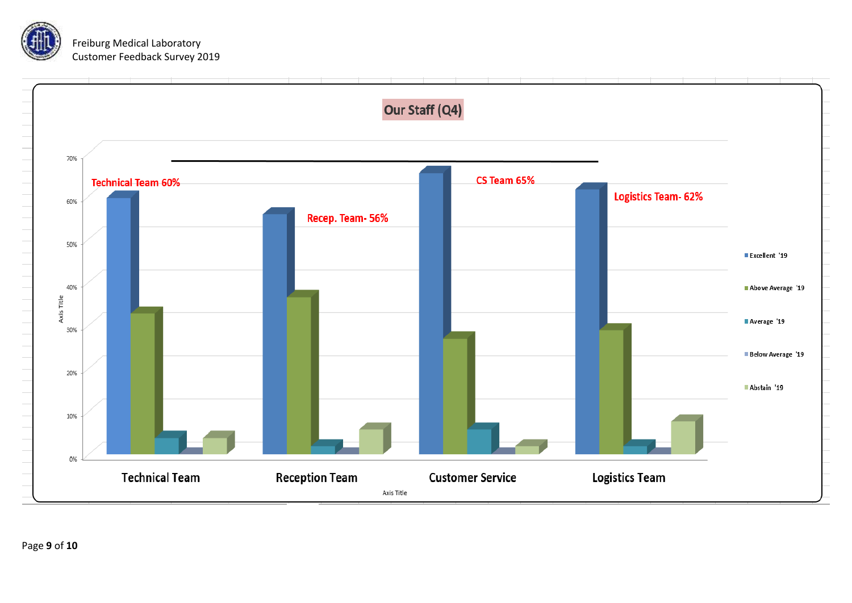